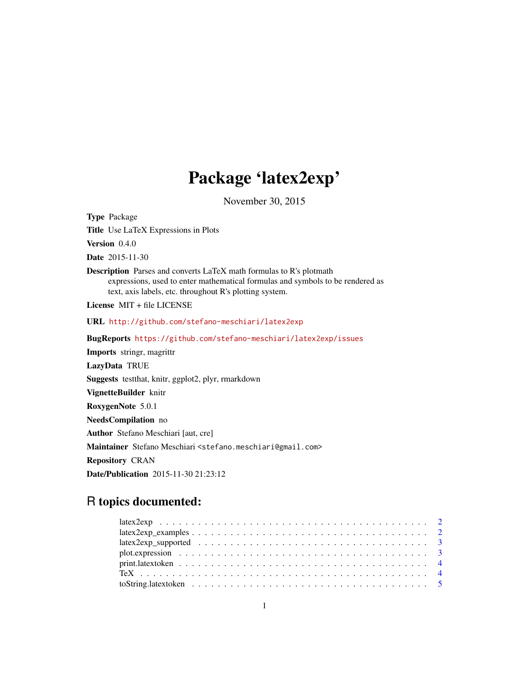## Package 'latex2exp'

November 30, 2015

<span id="page-0-0"></span>Type Package Title Use LaTeX Expressions in Plots Version 0.4.0 Date 2015-11-30 Description Parses and converts LaTeX math formulas to R's plotmath expressions, used to enter mathematical formulas and symbols to be rendered as text, axis labels, etc. throughout R's plotting system. License MIT + file LICENSE URL <http://github.com/stefano-meschiari/latex2exp> BugReports <https://github.com/stefano-meschiari/latex2exp/issues> Imports stringr, magrittr LazyData TRUE Suggests testthat, knitr, ggplot2, plyr, rmarkdown VignetteBuilder knitr RoxygenNote 5.0.1 NeedsCompilation no Author Stefano Meschiari [aut, cre] Maintainer Stefano Meschiari <stefano.meschiari@gmail.com> Repository CRAN Date/Publication 2015-11-30 21:23:12

### R topics documented: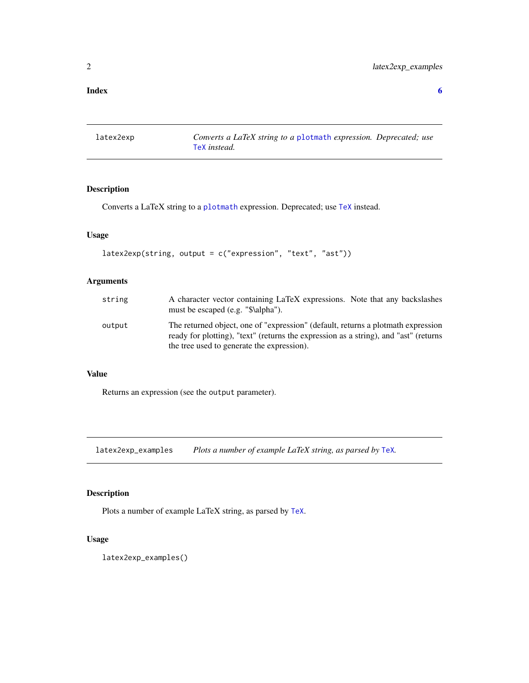#### <span id="page-1-0"></span>**Index** [6](#page-5-0) **6**

<span id="page-1-1"></span>latex2exp *Converts a LaTeX string to a* [plotmath](#page-0-0) *expression. Deprecated; use* [TeX](#page-3-1) *instead.*

#### Description

Converts a LaTeX string to a [plotmath](#page-0-0) expression. Deprecated; use [TeX](#page-3-1) instead.

#### Usage

```
latex2exp(string, output = c("expression", "text", "ast"))
```
#### Arguments

| string | A character vector containing LaTeX expressions. Note that any backslashes<br>must be escaped (e.g. "\$\alpha").                                                                                                       |
|--------|------------------------------------------------------------------------------------------------------------------------------------------------------------------------------------------------------------------------|
| output | The returned object, one of "expression" (default, returns a plotmath expression<br>ready for plotting), "text" (returns the expression as a string), and "ast" (returns<br>the tree used to generate the expression). |

#### Value

Returns an expression (see the output parameter).

latex2exp\_examples *Plots a number of example LaTeX string, as parsed by* [TeX](#page-3-1)*.*

#### Description

Plots a number of example LaTeX string, as parsed by [TeX](#page-3-1).

#### Usage

latex2exp\_examples()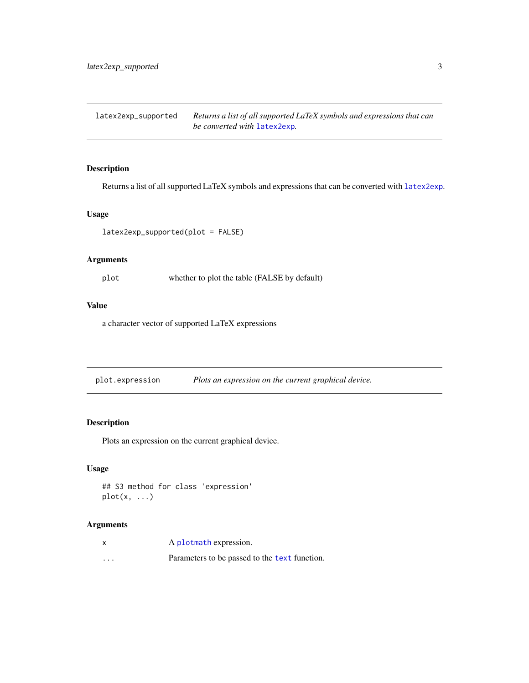<span id="page-2-0"></span>latex2exp\_supported *Returns a list of all supported LaTeX symbols and expressions that can be converted with* [latex2exp](#page-1-1)*.*

#### Description

Returns a list of all supported LaTeX symbols and expressions that can be converted with [latex2exp](#page-1-1).

#### Usage

latex2exp\_supported(plot = FALSE)

#### Arguments

plot whether to plot the table (FALSE by default)

#### Value

a character vector of supported LaTeX expressions

plot.expression *Plots an expression on the current graphical device.*

#### Description

Plots an expression on the current graphical device.

#### Usage

```
## S3 method for class 'expression'
plot(x, \ldots)
```
#### Arguments

|          | A plotmath expression.                        |
|----------|-----------------------------------------------|
| $\cdots$ | Parameters to be passed to the text function. |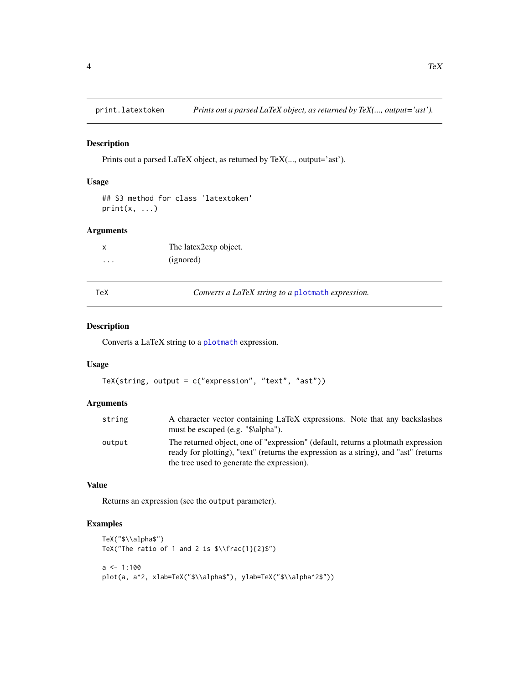<span id="page-3-0"></span>

#### Description

Prints out a parsed LaTeX object, as returned by TeX(..., output='ast').

#### Usage

```
## S3 method for class 'latextoken'
print(x, \ldots)
```
#### Arguments

|          | The latex2exp object. |
|----------|-----------------------|
| $\cdots$ | (ignored)             |

<span id="page-3-1"></span>TeX *Converts a LaTeX string to a* [plotmath](#page-0-0) *expression.*

#### Description

Converts a LaTeX string to a [plotmath](#page-0-0) expression.

#### Usage

```
TeX(string, output = c("expression", "text", "ast"))
```
#### Arguments

| string | A character vector containing LaTeX expressions. Note that any backslashes                                                                                               |
|--------|--------------------------------------------------------------------------------------------------------------------------------------------------------------------------|
|        | must be escaped (e.g. "\$\alpha").                                                                                                                                       |
| output | The returned object, one of "expression" (default, returns a plotmath expression<br>ready for plotting), "text" (returns the expression as a string), and "ast" (returns |
|        | the tree used to generate the expression).                                                                                                                               |

#### Value

Returns an expression (see the output parameter).

#### Examples

```
TeX("$\\alpha$")
TeX("The ratio of 1 and 2 is \\frac{1}{2}\")
a \leq 1:100plot(a, a^2, xlab=TeX("$\\alpha$"), ylab=TeX("$\\alpha^2$"))
```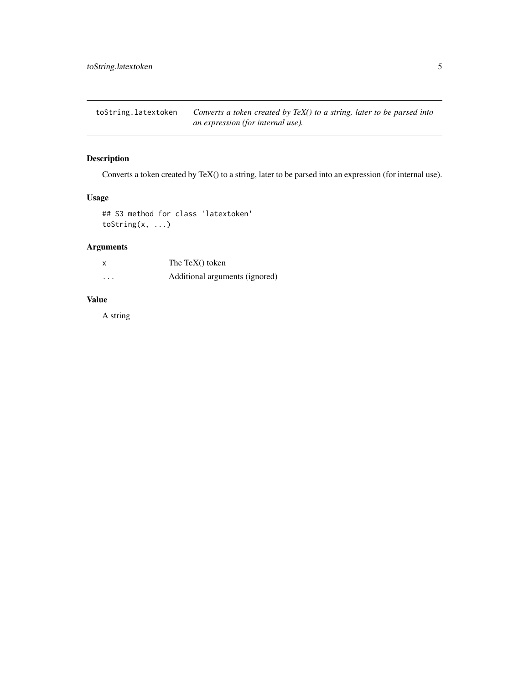<span id="page-4-0"></span>toString.latextoken *Converts a token created by TeX() to a string, later to be parsed into an expression (for internal use).*

#### Description

Converts a token created by TeX() to a string, later to be parsed into an expression (for internal use).

#### Usage

```
## S3 method for class 'latextoken'
toString(x, ...)
```
#### Arguments

| $\boldsymbol{\mathsf{x}}$ | The TeX $()$ token             |
|---------------------------|--------------------------------|
| .                         | Additional arguments (ignored) |

#### Value

A string